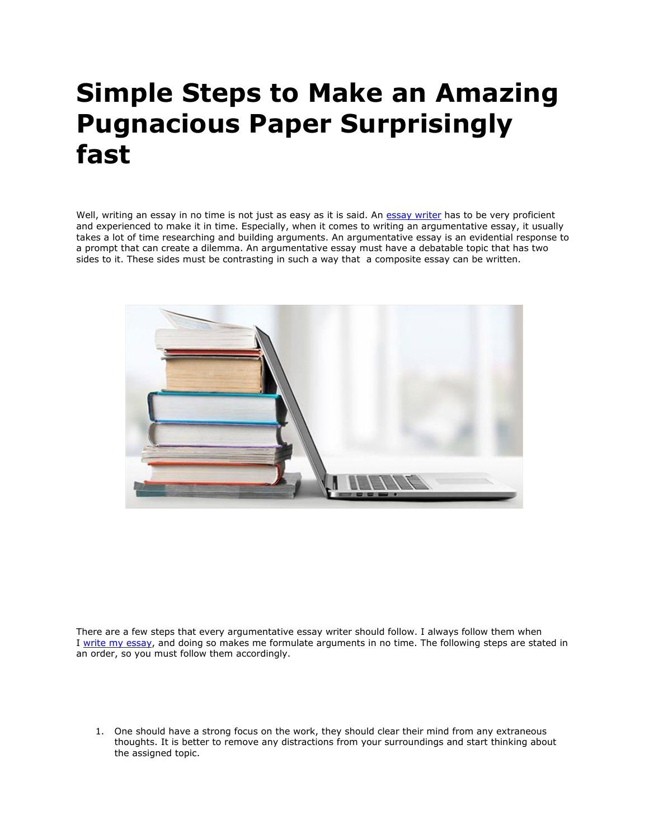## **Simple Steps to Make an Amazing Pugnacious Paper Surprisingly fast**

Well, writing an essay in no time is not just as easy as it is said. An [essay writer](https://www.essaywriter.college/) has to be very proficient and experienced to make it in time. Especially, when it comes to writing an argumentative essay, it usually takes a lot of time researching and building arguments. An argumentative essay is an evidential response to a prompt that can create a dilemma. An argumentative essay must have a debatable topic that has two sides to it. These sides must be contrasting in such a way that a composite essay can be written.



There are a few steps that every argumentative essay writer should follow. I always follow them when I [write my essay,](https://writemyessayfast.net/) and doing so makes me formulate arguments in no time. The following steps are stated in an order, so you must follow them accordingly.

1. One should have a strong focus on the work, they should clear their mind from any extraneous thoughts. It is better to remove any distractions from your surroundings and start thinking about the assigned topic.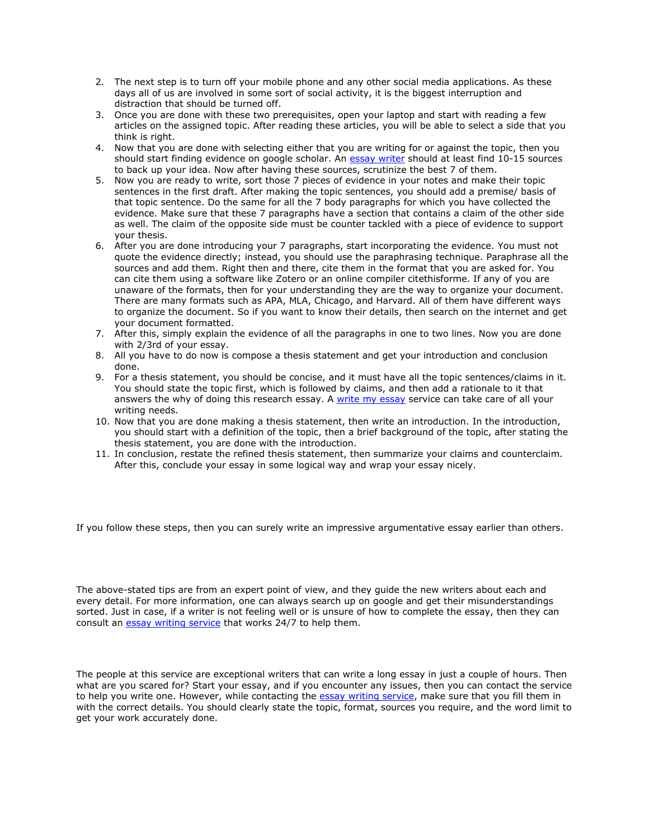- 2. The next step is to turn off your mobile phone and any other social media applications. As these days all of us are involved in some sort of social activity, it is the biggest interruption and distraction that should be turned off.
- 3. Once you are done with these two prerequisites, open your laptop and start with reading a few articles on the assigned topic. After reading these articles, you will be able to select a side that you think is right.
- 4. Now that you are done with selecting either that you are writing for or against the topic, then you should start finding evidence on google scholar. An [essay writer](https://essaywriternow.com/) should at least find 10-15 sources to back up your idea. Now after having these sources, scrutinize the best 7 of them.
- 5. Now you are ready to write, sort those 7 pieces of evidence in your notes and make their topic sentences in the first draft. After making the topic sentences, you should add a premise/ basis of that topic sentence. Do the same for all the 7 body paragraphs for which you have collected the evidence. Make sure that these 7 paragraphs have a section that contains a claim of the other side as well. The claim of the opposite side must be counter tackled with a piece of evidence to support your thesis.
- 6. After you are done introducing your 7 paragraphs, start incorporating the evidence. You must not quote the evidence directly; instead, you should use the paraphrasing technique. Paraphrase all the sources and add them. Right then and there, cite them in the format that you are asked for. You can cite them using a software like Zotero or an online compiler citethisforme. If any of you are unaware of the formats, then for your understanding they are the way to organize your document. There are many formats such as APA, MLA, Chicago, and Harvard. All of them have different ways to organize the document. So if you want to know their details, then search on the internet and get your document formatted.
- 7. After this, simply explain the evidence of all the paragraphs in one to two lines. Now you are done with 2/3rd of your essay.
- 8. All you have to do now is compose a thesis statement and get your introduction and conclusion done.
- 9. For a thesis statement, you should be concise, and it must have all the topic sentences/claims in it. You should state the topic first, which is followed by claims, and then add a rationale to it that answers the why of doing this research essay. A [write my essay](https://essayhours.com/) service can take care of all your writing needs.
- 10. Now that you are done making a thesis statement, then write an introduction. In the introduction, you should start with a definition of the topic, then a brief background of the topic, after stating the thesis statement, you are done with the introduction.
- 11. In conclusion, restate the refined thesis statement, then summarize your claims and counterclaim. After this, conclude your essay in some logical way and wrap your essay nicely.

If you follow these steps, then you can surely write an impressive argumentative essay earlier than others.

The above-stated tips are from an expert point of view, and they guide the new writers about each and every detail. For more information, one can always search up on google and get their misunderstandings sorted. Just in case, if a writer is not feeling well or is unsure of how to complete the essay, then they can consult an [essay writing service](https://www.essaywritingservice.college/) that works 24/7 to help them.

The people at this service are exceptional writers that can write a long essay in just a couple of hours. Then what are you scared for? Start your essay, and if you encounter any issues, then you can contact the service to help you write one. However, while contacting the [essay writing service,](https://essayhours.com/) make sure that you fill them in with the correct details. You should clearly state the topic, format, sources you require, and the word limit to get your work accurately done.